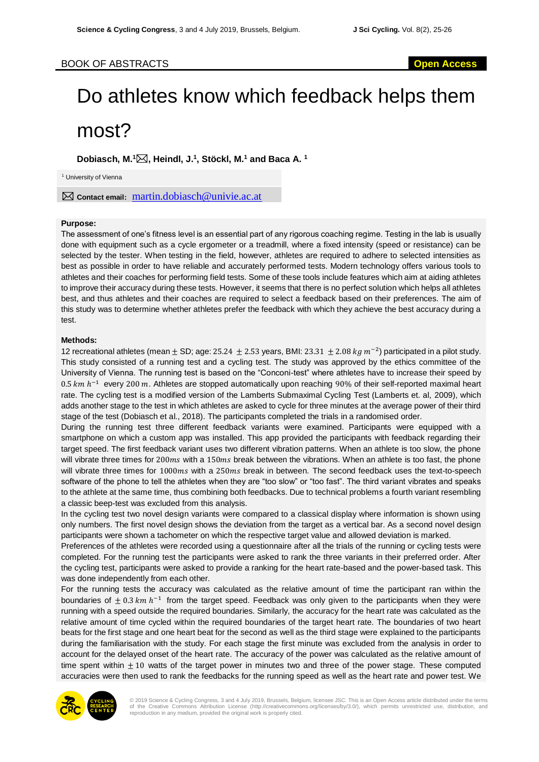# BOOK OF ABSTRACTS **Open Access**

# Do athletes know which feedback helps them most?

**Dobiasch, M. <sup>1</sup>, Heindl, J. 1 , Stöckl, M. <sup>1</sup> and Baca A. 1**

<sup>1</sup> University of Vienna

**Contact email:** martin.dobiasch@univie.ac.at

### **Purpose:**

The assessment of one's fitness level is an essential part of any rigorous coaching regime. Testing in the lab is usually done with equipment such as a cycle ergometer or a treadmill, where a fixed intensity (speed or resistance) can be selected by the tester. When testing in the field, however, athletes are required to adhere to selected intensities as best as possible in order to have reliable and accurately performed tests. Modern technology offers various tools to athletes and their coaches for performing field tests. Some of these tools include features which aim at aiding athletes to improve their accuracy during these tests. However, it seems that there is no perfect solution which helps all athletes best, and thus athletes and their coaches are required to select a feedback based on their preferences. The aim of this study was to determine whether athletes prefer the feedback with which they achieve the best accuracy during a test.

#### **Methods:**

12 recreational athletes (mean  $\pm$  SD; age: 25.24  $\pm$  2.53 years, BMI: 23.31  $\pm$  2.08  $kg$   $m^{-2}$ ) participated in a pilot study. This study consisted of a running test and a cycling test. The study was approved by the ethics committee of the University of Vienna. The running test is based on the "Conconi-test" where athletes have to increase their speed by 0.5  $km h^{-1}$  every 200 m. Athletes are stopped automatically upon reaching 90% of their self-reported maximal heart rate. The cycling test is a modified version of the Lamberts Submaximal Cycling Test (Lamberts et. al, 2009), which adds another stage to the test in which athletes are asked to cycle for three minutes at the average power of their third stage of the test (Dobiasch et al., 2018). The participants completed the trials in a randomised order.

During the running test three different feedback variants were examined. Participants were equipped with a smartphone on which a custom app was installed. This app provided the participants with feedback regarding their target speed. The first feedback variant uses two different vibration patterns. When an athlete is too slow, the phone will vibrate three times for  $200ms$  with a  $150ms$  break between the vibrations. When an athlete is too fast, the phone will vibrate three times for  $1000ms$  with a  $250ms$  break in between. The second feedback uses the text-to-speech software of the phone to tell the athletes when they are "too slow" or "too fast". The third variant vibrates and speaks to the athlete at the same time, thus combining both feedbacks. Due to technical problems a fourth variant resembling a classic beep-test was excluded from this analysis.

In the cycling test two novel design variants were compared to a classical display where information is shown using only numbers. The first novel design shows the deviation from the target as a vertical bar. As a second novel design participants were shown a tachometer on which the respective target value and allowed deviation is marked.

Preferences of the athletes were recorded using a questionnaire after all the trials of the running or cycling tests were completed. For the running test the participants were asked to rank the three variants in their preferred order. After the cycling test, participants were asked to provide a ranking for the heart rate-based and the power-based task. This was done independently from each other.

For the running tests the accuracy was calculated as the relative amount of time the participant ran within the boundaries of  $\pm$  0.3  $km h^{-1}$  from the target speed. Feedback was only given to the participants when they were running with a speed outside the required boundaries. Similarly, the accuracy for the heart rate was calculated as the relative amount of time cycled within the required boundaries of the target heart rate. The boundaries of two heart beats for the first stage and one heart beat for the second as well as the third stage were explained to the participants during the familiarisation with the study. For each stage the first minute was excluded from the analysis in order to account for the delayed onset of the heart rate. The accuracy of the power was calculated as the relative amount of time spent within  $\pm 10$  watts of the target power in minutes two and three of the power stage. These computed accuracies were then used to rank the feedbacks for the running speed as well as the heart rate and power test. We



© 2019 Science & Cycling Congress, 3 and 4 July 2019, Brussels, Belgium, licensee JSC. This is an Open Access article distributed under the terms of the Creative Commons Attribution License (http://creativecommons.org/licenses/by/3.0/), which permits unrestricted use, distribution, and reproduction in any medium, provided the original work is properly cited.